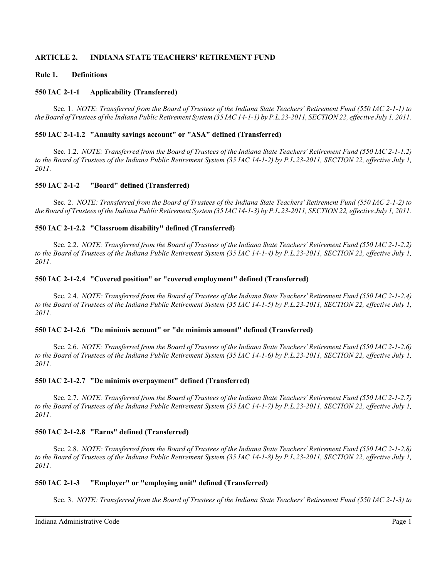## **ARTICLE 2. INDIANA STATE TEACHERS' RETIREMENT FUND**

## **Rule 1. Definitions**

### **550 IAC 2-1-1 Applicability (Transferred)**

Sec. 1. *NOTE: Transferred from the Board of Trustees of the Indiana State Teachers' Retirement Fund (550 IAC 2-1-1) to the Board of Trustees of the Indiana Public Retirement System (35 IAC 14-1-1) by P.L.23-2011, SECTION 22, effective July 1, 2011.*

### **550 IAC 2-1-1.2 "Annuity savings account" or "ASA" defined (Transferred)**

Sec. 1.2. *NOTE: Transferred from the Board of Trustees of the Indiana State Teachers' Retirement Fund (550 IAC 2-1-1.2) to the Board of Trustees of the Indiana Public Retirement System (35 IAC 14-1-2) by P.L.23-2011, SECTION 22, effective July 1, 2011.*

### **550 IAC 2-1-2 "Board" defined (Transferred)**

Sec. 2. *NOTE: Transferred from the Board of Trustees of the Indiana State Teachers' Retirement Fund (550 IAC 2-1-2) to the Board of Trustees of the Indiana Public Retirement System (35 IAC 14-1-3) by P.L.23-2011, SECTION 22, effective July 1, 2011.*

### **550 IAC 2-1-2.2 "Classroom disability" defined (Transferred)**

Sec. 2.2. *NOTE: Transferred from the Board of Trustees of the Indiana State Teachers' Retirement Fund (550 IAC 2-1-2.2) to the Board of Trustees of the Indiana Public Retirement System (35 IAC 14-1-4) by P.L.23-2011, SECTION 22, effective July 1, 2011.*

### **550 IAC 2-1-2.4 "Covered position" or "covered employment" defined (Transferred)**

Sec. 2.4. *NOTE: Transferred from the Board of Trustees of the Indiana State Teachers' Retirement Fund (550 IAC 2-1-2.4) to the Board of Trustees of the Indiana Public Retirement System (35 IAC 14-1-5) by P.L.23-2011, SECTION 22, effective July 1, 2011.*

#### **550 IAC 2-1-2.6 "De minimis account" or "de minimis amount" defined (Transferred)**

Sec. 2.6. *NOTE: Transferred from the Board of Trustees of the Indiana State Teachers' Retirement Fund (550 IAC 2-1-2.6) to the Board of Trustees of the Indiana Public Retirement System (35 IAC 14-1-6) by P.L.23-2011, SECTION 22, effective July 1, 2011.*

#### **550 IAC 2-1-2.7 "De minimis overpayment" defined (Transferred)**

Sec. 2.7. *NOTE: Transferred from the Board of Trustees of the Indiana State Teachers' Retirement Fund (550 IAC 2-1-2.7) to the Board of Trustees of the Indiana Public Retirement System (35 IAC 14-1-7) by P.L.23-2011, SECTION 22, effective July 1, 2011.*

## **550 IAC 2-1-2.8 "Earns" defined (Transferred)**

Sec. 2.8. *NOTE: Transferred from the Board of Trustees of the Indiana State Teachers' Retirement Fund (550 IAC 2-1-2.8) to the Board of Trustees of the Indiana Public Retirement System (35 IAC 14-1-8) by P.L.23-2011, SECTION 22, effective July 1, 2011.*

#### **550 IAC 2-1-3 "Employer" or "employing unit" defined (Transferred)**

Sec. 3. *NOTE: Transferred from the Board of Trustees of the Indiana State Teachers' Retirement Fund (550 IAC 2-1-3) to*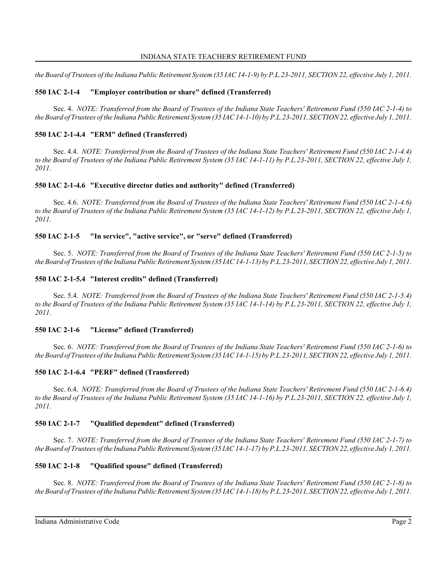*the Board of Trustees of the Indiana Public Retirement System (35 IAC 14-1-9) by P.L.23-2011, SECTION 22, effective July 1, 2011.*

# **550 IAC 2-1-4 "Employer contribution or share" defined (Transferred)**

Sec. 4. *NOTE: Transferred from the Board of Trustees of the Indiana State Teachers' Retirement Fund (550 IAC 2-1-4) to the Board of Trustees of the Indiana Public Retirement System (35 IAC 14-1-10) by P.L.23-2011, SECTION 22, effective July 1, 2011.*

# **550 IAC 2-1-4.4 "ERM" defined (Transferred)**

Sec. 4.4. *NOTE: Transferred from the Board of Trustees of the Indiana State Teachers' Retirement Fund (550 IAC 2-1-4.4) to the Board of Trustees of the Indiana Public Retirement System (35 IAC 14-1-11) by P.L.23-2011, SECTION 22, effective July 1, 2011.*

## **550 IAC 2-1-4.6 "Executive director duties and authority" defined (Transferred)**

Sec. 4.6. *NOTE: Transferred from the Board of Trustees of the Indiana State Teachers' Retirement Fund (550 IAC 2-1-4.6) to the Board of Trustees of the Indiana Public Retirement System (35 IAC 14-1-12) by P.L.23-2011, SECTION 22, effective July 1, 2011.*

# **550 IAC 2-1-5 "In service", "active service", or "serve" defined (Transferred)**

Sec. 5. *NOTE: Transferred from the Board of Trustees of the Indiana State Teachers' Retirement Fund (550 IAC 2-1-5) to the Board of Trustees of the Indiana Public Retirement System (35 IAC 14-1-13) by P.L.23-2011, SECTION 22, effective July 1, 2011.*

# **550 IAC 2-1-5.4 "Interest credits" defined (Transferred)**

Sec. 5.4. *NOTE: Transferred from the Board of Trustees of the Indiana State Teachers' Retirement Fund (550 IAC 2-1-5.4) to the Board of Trustees of the Indiana Public Retirement System (35 IAC 14-1-14) by P.L.23-2011, SECTION 22, effective July 1, 2011.*

# **550 IAC 2-1-6 "License" defined (Transferred)**

Sec. 6. *NOTE: Transferred from the Board of Trustees of the Indiana State Teachers' Retirement Fund (550 IAC 2-1-6) to the Board of Trustees of the Indiana Public Retirement System (35 IAC 14-1-15) by P.L.23-2011, SECTION 22, effective July 1, 2011.*

# **550 IAC 2-1-6.4 "PERF" defined (Transferred)**

Sec. 6.4. *NOTE: Transferred from the Board of Trustees of the Indiana State Teachers' Retirement Fund (550 IAC 2-1-6.4) to the Board of Trustees of the Indiana Public Retirement System (35 IAC 14-1-16) by P.L.23-2011, SECTION 22, effective July 1, 2011.*

# **550 IAC 2-1-7 "Qualified dependent" defined (Transferred)**

Sec. 7. *NOTE: Transferred from the Board of Trustees of the Indiana State Teachers' Retirement Fund (550 IAC 2-1-7) to the Board of Trustees of the Indiana Public Retirement System (35 IAC 14-1-17) by P.L.23-2011, SECTION 22, effective July 1, 2011.*

# **550 IAC 2-1-8 "Qualified spouse" defined (Transferred)**

Sec. 8. *NOTE: Transferred from the Board of Trustees of the Indiana State Teachers' Retirement Fund (550 IAC 2-1-8) to the Board of Trustees of the Indiana Public Retirement System (35 IAC 14-1-18) by P.L.23-2011, SECTION 22, effective July 1, 2011.*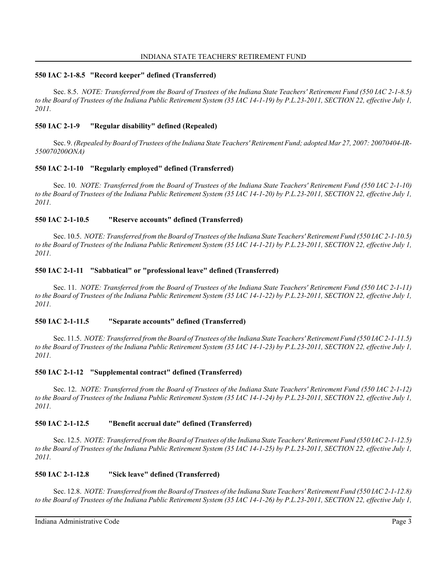### **550 IAC 2-1-8.5 "Record keeper" defined (Transferred)**

Sec. 8.5. *NOTE: Transferred from the Board of Trustees of the Indiana State Teachers' Retirement Fund (550 IAC 2-1-8.5) to the Board of Trustees of the Indiana Public Retirement System (35 IAC 14-1-19) by P.L.23-2011, SECTION 22, effective July 1, 2011.*

## **550 IAC 2-1-9 "Regular disability" defined (Repealed)**

Sec. 9. *(Repealed by Board of Trustees of the Indiana State Teachers' Retirement Fund; adopted Mar 27, 2007: 20070404-IR-550070200ONA)*

## **550 IAC 2-1-10 "Regularly employed" defined (Transferred)**

Sec. 10. *NOTE: Transferred from the Board of Trustees of the Indiana State Teachers' Retirement Fund (550 IAC 2-1-10) to the Board of Trustees of the Indiana Public Retirement System (35 IAC 14-1-20) by P.L.23-2011, SECTION 22, effective July 1, 2011.*

## **550 IAC 2-1-10.5 "Reserve accounts" defined (Transferred)**

Sec. 10.5. *NOTE: Transferred from the Board of Trustees of the Indiana State Teachers' Retirement Fund (550 IAC 2-1-10.5) to the Board of Trustees of the Indiana Public Retirement System (35 IAC 14-1-21) by P.L.23-2011, SECTION 22, effective July 1, 2011.*

## **550 IAC 2-1-11 "Sabbatical" or "professional leave" defined (Transferred)**

Sec. 11. *NOTE: Transferred from the Board of Trustees of the Indiana State Teachers' Retirement Fund (550 IAC 2-1-11) to the Board of Trustees of the Indiana Public Retirement System (35 IAC 14-1-22) by P.L.23-2011, SECTION 22, effective July 1, 2011.*

# **550 IAC 2-1-11.5 "Separate accounts" defined (Transferred)**

Sec. 11.5. *NOTE: Transferred from the Board of Trustees of the Indiana State Teachers' Retirement Fund (550 IAC 2-1-11.5) to the Board of Trustees of the Indiana Public Retirement System (35 IAC 14-1-23) by P.L.23-2011, SECTION 22, effective July 1, 2011.*

## **550 IAC 2-1-12 "Supplemental contract" defined (Transferred)**

Sec. 12. *NOTE: Transferred from the Board of Trustees of the Indiana State Teachers' Retirement Fund (550 IAC 2-1-12) to the Board of Trustees of the Indiana Public Retirement System (35 IAC 14-1-24) by P.L.23-2011, SECTION 22, effective July 1, 2011.*

## **550 IAC 2-1-12.5 "Benefit accrual date" defined (Transferred)**

Sec. 12.5. *NOTE: Transferred from the Board of Trustees of the Indiana State Teachers' Retirement Fund (550 IAC 2-1-12.5) to the Board of Trustees of the Indiana Public Retirement System (35 IAC 14-1-25) by P.L.23-2011, SECTION 22, effective July 1, 2011.*

## **550 IAC 2-1-12.8 "Sick leave" defined (Transferred)**

Sec. 12.8. *NOTE: Transferred from the Board of Trustees of the Indiana State Teachers' Retirement Fund (550 IAC 2-1-12.8) to the Board of Trustees of the Indiana Public Retirement System (35 IAC 14-1-26) by P.L.23-2011, SECTION 22, effective July 1,*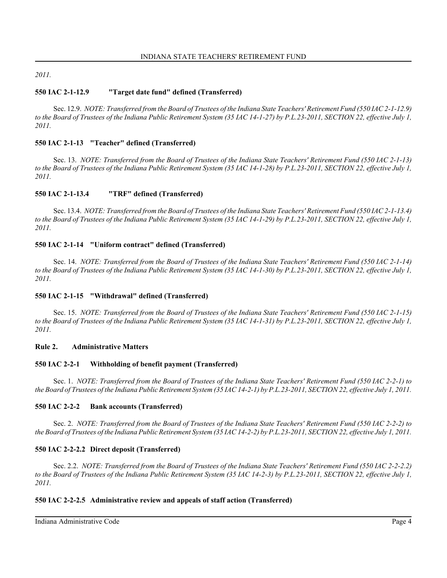*2011.*

# **550 IAC 2-1-12.9 "Target date fund" defined (Transferred)**

Sec. 12.9. *NOTE: Transferred from the Board of Trustees of the Indiana State Teachers' Retirement Fund (550 IAC 2-1-12.9) to the Board of Trustees of the Indiana Public Retirement System (35 IAC 14-1-27) by P.L.23-2011, SECTION 22, effective July 1, 2011.*

## **550 IAC 2-1-13 "Teacher" defined (Transferred)**

Sec. 13. *NOTE: Transferred from the Board of Trustees of the Indiana State Teachers' Retirement Fund (550 IAC 2-1-13) to the Board of Trustees of the Indiana Public Retirement System (35 IAC 14-1-28) by P.L.23-2011, SECTION 22, effective July 1, 2011.*

## **550 IAC 2-1-13.4 "TRF" defined (Transferred)**

Sec. 13.4. *NOTE: Transferred from the Board of Trustees of the Indiana State Teachers' Retirement Fund (550 IAC 2-1-13.4) to the Board of Trustees of the Indiana Public Retirement System (35 IAC 14-1-29) by P.L.23-2011, SECTION 22, effective July 1, 2011.*

## **550 IAC 2-1-14 "Uniform contract" defined (Transferred)**

Sec. 14. *NOTE: Transferred from the Board of Trustees of the Indiana State Teachers' Retirement Fund (550 IAC 2-1-14) to the Board of Trustees of the Indiana Public Retirement System (35 IAC 14-1-30) by P.L.23-2011, SECTION 22, effective July 1, 2011.*

## **550 IAC 2-1-15 "Withdrawal" defined (Transferred)**

Sec. 15. *NOTE: Transferred from the Board of Trustees of the Indiana State Teachers' Retirement Fund (550 IAC 2-1-15) to the Board of Trustees of the Indiana Public Retirement System (35 IAC 14-1-31) by P.L.23-2011, SECTION 22, effective July 1, 2011.*

## **Rule 2. Administrative Matters**

## **550 IAC 2-2-1 Withholding of benefit payment (Transferred)**

Sec. 1. *NOTE: Transferred from the Board of Trustees of the Indiana State Teachers' Retirement Fund (550 IAC 2-2-1) to the Board of Trustees of the Indiana Public Retirement System (35 IAC 14-2-1) by P.L.23-2011, SECTION 22, effective July 1, 2011.*

## **550 IAC 2-2-2 Bank accounts (Transferred)**

Sec. 2. *NOTE: Transferred from the Board of Trustees of the Indiana State Teachers' Retirement Fund (550 IAC 2-2-2) to the Board of Trustees of the Indiana Public Retirement System (35 IAC 14-2-2) by P.L.23-2011, SECTION 22, effective July 1, 2011.*

# **550 IAC 2-2-2.2 Direct deposit (Transferred)**

Sec. 2.2. *NOTE: Transferred from the Board of Trustees of the Indiana State Teachers' Retirement Fund (550 IAC 2-2-2.2) to the Board of Trustees of the Indiana Public Retirement System (35 IAC 14-2-3) by P.L.23-2011, SECTION 22, effective July 1, 2011.*

# **550 IAC 2-2-2.5 Administrative review and appeals of staff action (Transferred)**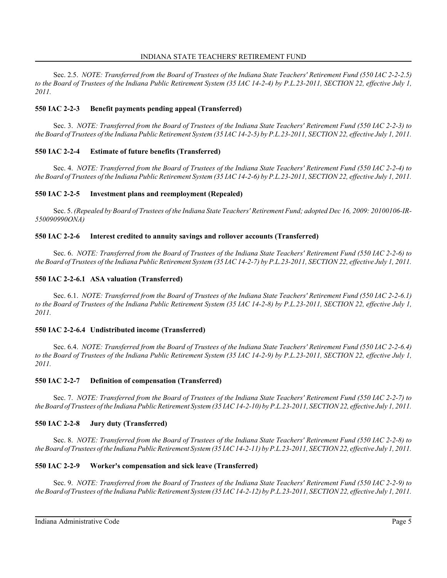Sec. 2.5. *NOTE: Transferred from the Board of Trustees of the Indiana State Teachers' Retirement Fund (550 IAC 2-2-2.5) to the Board of Trustees of the Indiana Public Retirement System (35 IAC 14-2-4) by P.L.23-2011, SECTION 22, effective July 1, 2011.*

## **550 IAC 2-2-3 Benefit payments pending appeal (Transferred)**

Sec. 3. *NOTE: Transferred from the Board of Trustees of the Indiana State Teachers' Retirement Fund (550 IAC 2-2-3) to the Board of Trustees of the Indiana Public Retirement System (35 IAC 14-2-5) by P.L.23-2011, SECTION 22, effective July 1, 2011.*

## **550 IAC 2-2-4 Estimate of future benefits (Transferred)**

Sec. 4. *NOTE: Transferred from the Board of Trustees of the Indiana State Teachers' Retirement Fund (550 IAC 2-2-4) to the Board of Trustees of the Indiana Public Retirement System (35 IAC 14-2-6) by P.L.23-2011, SECTION 22, effective July 1, 2011.*

## **550 IAC 2-2-5 Investment plans and reemployment (Repealed)**

Sec. 5. *(Repealed by Board of Trustees of the Indiana State Teachers' Retirement Fund; adopted Dec 16, 2009: 20100106-IR-550090990ONA)*

## **550 IAC 2-2-6 Interest credited to annuity savings and rollover accounts (Transferred)**

Sec. 6. *NOTE: Transferred from the Board of Trustees of the Indiana State Teachers' Retirement Fund (550 IAC 2-2-6) to the Board of Trustees of the Indiana Public Retirement System (35 IAC 14-2-7) by P.L.23-2011, SECTION 22, effective July 1, 2011.*

## **550 IAC 2-2-6.1 ASA valuation (Transferred)**

Sec. 6.1. *NOTE: Transferred from the Board of Trustees of the Indiana State Teachers' Retirement Fund (550 IAC 2-2-6.1) to the Board of Trustees of the Indiana Public Retirement System (35 IAC 14-2-8) by P.L.23-2011, SECTION 22, effective July 1, 2011.*

## **550 IAC 2-2-6.4 Undistributed income (Transferred)**

Sec. 6.4. *NOTE: Transferred from the Board of Trustees of the Indiana State Teachers' Retirement Fund (550 IAC 2-2-6.4) to the Board of Trustees of the Indiana Public Retirement System (35 IAC 14-2-9) by P.L.23-2011, SECTION 22, effective July 1, 2011.*

## **550 IAC 2-2-7 Definition of compensation (Transferred)**

Sec. 7. *NOTE: Transferred from the Board of Trustees of the Indiana State Teachers' Retirement Fund (550 IAC 2-2-7) to the Board of Trustees of the Indiana Public Retirement System (35 IAC 14-2-10) by P.L.23-2011, SECTION 22, effective July 1, 2011.*

## **550 IAC 2-2-8 Jury duty (Transferred)**

Sec. 8. *NOTE: Transferred from the Board of Trustees of the Indiana State Teachers' Retirement Fund (550 IAC 2-2-8) to the Board of Trustees of the Indiana Public Retirement System (35 IAC 14-2-11) by P.L.23-2011, SECTION 22, effective July 1, 2011.*

# **550 IAC 2-2-9 Worker's compensation and sick leave (Transferred)**

Sec. 9. *NOTE: Transferred from the Board of Trustees of the Indiana State Teachers' Retirement Fund (550 IAC 2-2-9) to the Board of Trustees of the Indiana Public Retirement System (35 IAC 14-2-12) by P.L.23-2011, SECTION 22, effective July 1, 2011.*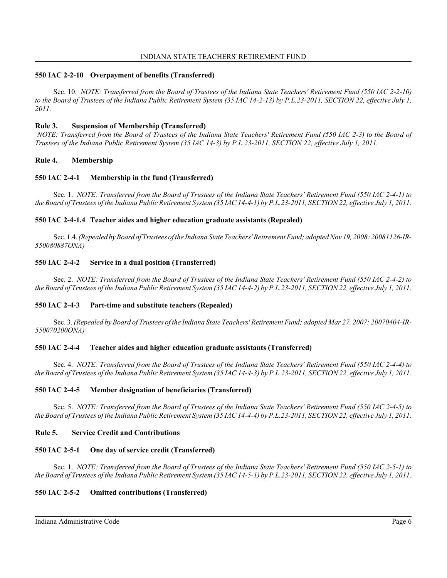### **550 IAC 2-2-10 Overpayment of benefits (Transferred)**

Sec. 10. *NOTE: Transferred from the Board of Trustees of the Indiana State Teachers' Retirement Fund (550 IAC 2-2-10) to the Board of Trustees of the Indiana Public Retirement System (35 IAC 14-2-13) by P.L.23-2011, SECTION 22, effective July 1, 2011.*

### **Rule 3. Suspension of Membership (Transferred)**

 *NOTE: Transferred from the Board of Trustees of the Indiana State Teachers' Retirement Fund (550 IAC 2-3) to the Board of Trustees of the Indiana Public Retirement System (35 IAC 14-3) by P.L.23-2011, SECTION 22, effective July 1, 2011.*

### **Rule 4. Membership**

#### **550 IAC 2-4-1 Membership in the fund (Transferred)**

Sec. 1. *NOTE: Transferred from the Board of Trustees of the Indiana State Teachers' Retirement Fund (550 IAC 2-4-1) to the Board of Trustees of the Indiana Public Retirement System (35 IAC 14-4-1) by P.L.23-2011, SECTION 22, effective July 1, 2011.*

### **550 IAC 2-4-1.4 Teacher aides and higher education graduate assistants (Repealed)**

Sec. 1.4. *(Repealed by Board of Trustees of the Indiana State Teachers' Retirement Fund; adopted Nov 19, 2008: 20081126-IR-550080887ONA)*

### **550 IAC 2-4-2 Service in a dual position (Transferred)**

Sec. 2. *NOTE: Transferred from the Board of Trustees of the Indiana State Teachers' Retirement Fund (550 IAC 2-4-2) to the Board of Trustees of the Indiana Public Retirement System (35 IAC 14-4-2) by P.L.23-2011, SECTION 22, effective July 1, 2011.*

## **550 IAC 2-4-3 Part-time and substitute teachers (Repealed)**

Sec. 3. *(Repealed by Board of Trustees of the Indiana State Teachers' Retirement Fund; adopted Mar 27, 2007: 20070404-IR-550070200ONA)*

## **550 IAC 2-4-4 Teacher aides and higher education graduate assistants (Transferred)**

Sec. 4. *NOTE: Transferred from the Board of Trustees of the Indiana State Teachers' Retirement Fund (550 IAC 2-4-4) to the Board of Trustees of the Indiana Public Retirement System (35 IAC 14-4-3) by P.L.23-2011, SECTION 22, effective July 1, 2011.*

#### **550 IAC 2-4-5 Member designation of beneficiaries (Transferred)**

Sec. 5. *NOTE: Transferred from the Board of Trustees of the Indiana State Teachers' Retirement Fund (550 IAC 2-4-5) to the Board of Trustees of the Indiana Public Retirement System (35 IAC 14-4-4) by P.L.23-2011, SECTION 22, effective July 1, 2011.*

#### **Rule 5. Service Credit and Contributions**

## **550 IAC 2-5-1 One day of service credit (Transferred)**

Sec. 1. *NOTE: Transferred from the Board of Trustees of the Indiana State Teachers' Retirement Fund (550 IAC 2-5-1) to the Board of Trustees of the Indiana Public Retirement System (35 IAC 14-5-1) by P.L.23-2011, SECTION 22, effective July 1, 2011.*

## **550 IAC 2-5-2 Omitted contributions (Transferred)**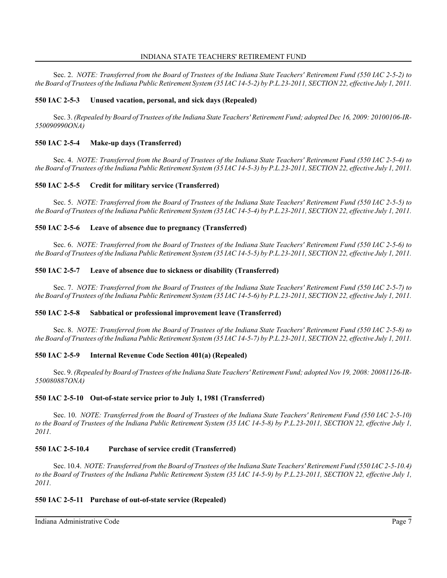Sec. 2. *NOTE: Transferred from the Board of Trustees of the Indiana State Teachers' Retirement Fund (550 IAC 2-5-2) to the Board of Trustees of the Indiana Public Retirement System (35 IAC 14-5-2) by P.L.23-2011, SECTION 22, effective July 1, 2011.*

## **550 IAC 2-5-3 Unused vacation, personal, and sick days (Repealed)**

Sec. 3. *(Repealed by Board of Trustees of the Indiana State Teachers' Retirement Fund; adopted Dec 16, 2009: 20100106-IR-550090990ONA)*

## **550 IAC 2-5-4 Make-up days (Transferred)**

Sec. 4. *NOTE: Transferred from the Board of Trustees of the Indiana State Teachers' Retirement Fund (550 IAC 2-5-4) to the Board of Trustees of the Indiana Public Retirement System (35 IAC 14-5-3) by P.L.23-2011, SECTION 22, effective July 1, 2011.*

## **550 IAC 2-5-5 Credit for military service (Transferred)**

Sec. 5. *NOTE: Transferred from the Board of Trustees of the Indiana State Teachers' Retirement Fund (550 IAC 2-5-5) to the Board of Trustees of the Indiana Public Retirement System (35 IAC 14-5-4) by P.L.23-2011, SECTION 22, effective July 1, 2011.*

### **550 IAC 2-5-6 Leave of absence due to pregnancy (Transferred)**

Sec. 6. *NOTE: Transferred from the Board of Trustees of the Indiana State Teachers' Retirement Fund (550 IAC 2-5-6) to the Board of Trustees of the Indiana Public Retirement System (35 IAC 14-5-5) by P.L.23-2011, SECTION 22, effective July 1, 2011.*

## **550 IAC 2-5-7 Leave of absence due to sickness or disability (Transferred)**

Sec. 7. *NOTE: Transferred from the Board of Trustees of the Indiana State Teachers' Retirement Fund (550 IAC 2-5-7) to the Board of Trustees of the Indiana Public Retirement System (35 IAC 14-5-6) by P.L.23-2011, SECTION 22, effective July 1, 2011.*

## **550 IAC 2-5-8 Sabbatical or professional improvement leave (Transferred)**

Sec. 8. *NOTE: Transferred from the Board of Trustees of the Indiana State Teachers' Retirement Fund (550 IAC 2-5-8) to the Board of Trustees of the Indiana Public Retirement System (35 IAC 14-5-7) by P.L.23-2011, SECTION 22, effective July 1, 2011.*

## **550 IAC 2-5-9 Internal Revenue Code Section 401(a) (Repealed)**

Sec. 9. *(Repealed by Board of Trustees of the Indiana State Teachers' Retirement Fund; adopted Nov 19, 2008: 20081126-IR-550080887ONA)*

## **550 IAC 2-5-10 Out-of-state service prior to July 1, 1981 (Transferred)**

Sec. 10. *NOTE: Transferred from the Board of Trustees of the Indiana State Teachers' Retirement Fund (550 IAC 2-5-10) to the Board of Trustees of the Indiana Public Retirement System (35 IAC 14-5-8) by P.L.23-2011, SECTION 22, effective July 1, 2011.*

## **550 IAC 2-5-10.4 Purchase of service credit (Transferred)**

Sec. 10.4. *NOTE: Transferred from the Board of Trustees of the Indiana State Teachers' Retirement Fund (550 IAC 2-5-10.4) to the Board of Trustees of the Indiana Public Retirement System (35 IAC 14-5-9) by P.L.23-2011, SECTION 22, effective July 1, 2011.*

## **550 IAC 2-5-11 Purchase of out-of-state service (Repealed)**

Indiana Administrative Code Page 7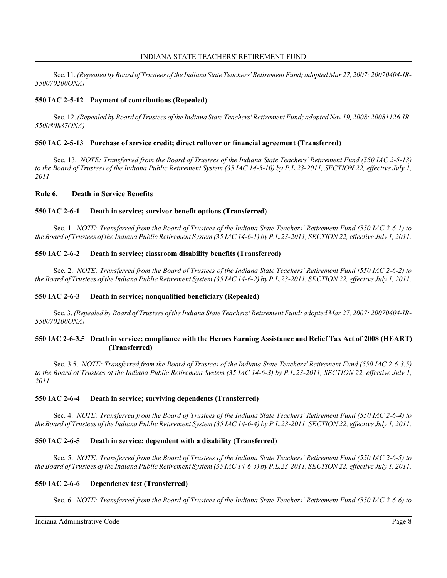Sec. 11. *(Repealed by Board of Trustees of the Indiana State Teachers' Retirement Fund; adopted Mar 27, 2007: 20070404-IR-550070200ONA)*

# **550 IAC 2-5-12 Payment of contributions (Repealed)**

Sec. 12. *(Repealed by Board of Trustees of the Indiana State Teachers' Retirement Fund; adopted Nov 19, 2008: 20081126-IR-550080887ONA)*

## **550 IAC 2-5-13 Purchase of service credit; direct rollover or financial agreement (Transferred)**

Sec. 13. *NOTE: Transferred from the Board of Trustees of the Indiana State Teachers' Retirement Fund (550 IAC 2-5-13) to the Board of Trustees of the Indiana Public Retirement System (35 IAC 14-5-10) by P.L.23-2011, SECTION 22, effective July 1, 2011.*

## **Rule 6. Death in Service Benefits**

## **550 IAC 2-6-1 Death in service; survivor benefit options (Transferred)**

Sec. 1. *NOTE: Transferred from the Board of Trustees of the Indiana State Teachers' Retirement Fund (550 IAC 2-6-1) to the Board of Trustees of the Indiana Public Retirement System (35 IAC 14-6-1) by P.L.23-2011, SECTION 22, effective July 1, 2011.*

## **550 IAC 2-6-2 Death in service; classroom disability benefits (Transferred)**

Sec. 2. *NOTE: Transferred from the Board of Trustees of the Indiana State Teachers' Retirement Fund (550 IAC 2-6-2) to the Board of Trustees of the Indiana Public Retirement System (35 IAC 14-6-2) by P.L.23-2011, SECTION 22, effective July 1, 2011.*

## **550 IAC 2-6-3 Death in service; nonqualified beneficiary (Repealed)**

Sec. 3. *(Repealed by Board of Trustees of the Indiana State Teachers' Retirement Fund; adopted Mar 27, 2007: 20070404-IR-550070200ONA)*

## **550 IAC 2-6-3.5 Death in service; compliance with the Heroes Earning Assistance and Relief Tax Act of 2008 (HEART) (Transferred)**

Sec. 3.5. *NOTE: Transferred from the Board of Trustees of the Indiana State Teachers' Retirement Fund (550 IAC 2-6-3.5) to the Board of Trustees of the Indiana Public Retirement System (35 IAC 14-6-3) by P.L.23-2011, SECTION 22, effective July 1, 2011.*

## **550 IAC 2-6-4 Death in service; surviving dependents (Transferred)**

Sec. 4. *NOTE: Transferred from the Board of Trustees of the Indiana State Teachers' Retirement Fund (550 IAC 2-6-4) to the Board of Trustees of the Indiana Public Retirement System (35 IAC 14-6-4) by P.L.23-2011, SECTION 22, effective July 1, 2011.*

## **550 IAC 2-6-5 Death in service; dependent with a disability (Transferred)**

Sec. 5. *NOTE: Transferred from the Board of Trustees of the Indiana State Teachers' Retirement Fund (550 IAC 2-6-5) to the Board of Trustees of the Indiana Public Retirement System (35 IAC 14-6-5) by P.L.23-2011, SECTION 22, effective July 1, 2011.*

## **550 IAC 2-6-6 Dependency test (Transferred)**

Sec. 6. *NOTE: Transferred from the Board of Trustees of the Indiana State Teachers' Retirement Fund (550 IAC 2-6-6) to*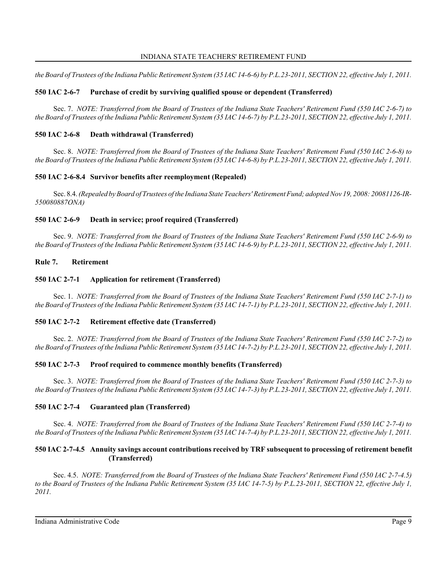*the Board of Trustees of the Indiana Public Retirement System (35 IAC 14-6-6) by P.L.23-2011, SECTION 22, effective July 1, 2011.*

# **550 IAC 2-6-7 Purchase of credit by surviving qualified spouse or dependent (Transferred)**

Sec. 7. *NOTE: Transferred from the Board of Trustees of the Indiana State Teachers' Retirement Fund (550 IAC 2-6-7) to the Board of Trustees of the Indiana Public Retirement System (35 IAC 14-6-7) by P.L.23-2011, SECTION 22, effective July 1, 2011.*

## **550 IAC 2-6-8 Death withdrawal (Transferred)**

Sec. 8. *NOTE: Transferred from the Board of Trustees of the Indiana State Teachers' Retirement Fund (550 IAC 2-6-8) to the Board of Trustees of the Indiana Public Retirement System (35 IAC 14-6-8) by P.L.23-2011, SECTION 22, effective July 1, 2011.*

## **550 IAC 2-6-8.4 Survivor benefits after reemployment (Repealed)**

Sec. 8.4. *(Repealed by Board of Trustees of the Indiana State Teachers' Retirement Fund; adopted Nov 19, 2008: 20081126-IR-550080887ONA)*

## **550 IAC 2-6-9 Death in service; proof required (Transferred)**

Sec. 9. *NOTE: Transferred from the Board of Trustees of the Indiana State Teachers' Retirement Fund (550 IAC 2-6-9) to the Board of Trustees of the Indiana Public Retirement System (35 IAC 14-6-9) by P.L.23-2011, SECTION 22, effective July 1, 2011.*

## **Rule 7. Retirement**

## **550 IAC 2-7-1 Application for retirement (Transferred)**

Sec. 1. *NOTE: Transferred from the Board of Trustees of the Indiana State Teachers' Retirement Fund (550 IAC 2-7-1) to the Board of Trustees of the Indiana Public Retirement System (35 IAC 14-7-1) by P.L.23-2011, SECTION 22, effective July 1, 2011.*

## **550 IAC 2-7-2 Retirement effective date (Transferred)**

Sec. 2. *NOTE: Transferred from the Board of Trustees of the Indiana State Teachers' Retirement Fund (550 IAC 2-7-2) to the Board of Trustees of the Indiana Public Retirement System (35 IAC 14-7-2) by P.L.23-2011, SECTION 22, effective July 1, 2011.*

## **550 IAC 2-7-3 Proof required to commence monthly benefits (Transferred)**

Sec. 3. *NOTE: Transferred from the Board of Trustees of the Indiana State Teachers' Retirement Fund (550 IAC 2-7-3) to the Board of Trustees of the Indiana Public Retirement System (35 IAC 14-7-3) by P.L.23-2011, SECTION 22, effective July 1, 2011.*

## **550 IAC 2-7-4 Guaranteed plan (Transferred)**

Sec. 4. *NOTE: Transferred from the Board of Trustees of the Indiana State Teachers' Retirement Fund (550 IAC 2-7-4) to the Board of Trustees of the Indiana Public Retirement System (35 IAC 14-7-4) by P.L.23-2011, SECTION 22, effective July 1, 2011.*

## **550 IAC 2-7-4.5 Annuity savings account contributions received by TRF subsequent to processing of retirement benefit (Transferred)**

Sec. 4.5. *NOTE: Transferred from the Board of Trustees of the Indiana State Teachers' Retirement Fund (550 IAC 2-7-4.5) to the Board of Trustees of the Indiana Public Retirement System (35 IAC 14-7-5) by P.L.23-2011, SECTION 22, effective July 1, 2011.*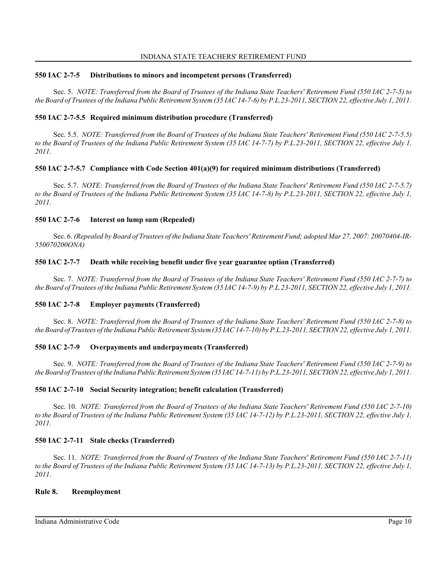## **550 IAC 2-7-5 Distributions to minors and incompetent persons (Transferred)**

Sec. 5. *NOTE: Transferred from the Board of Trustees of the Indiana State Teachers' Retirement Fund (550 IAC 2-7-5) to the Board of Trustees of the Indiana Public Retirement System (35 IAC 14-7-6) by P.L.23-2011, SECTION 22, effective July 1, 2011.*

# **550 IAC 2-7-5.5 Required minimum distribution procedure (Transferred)**

Sec. 5.5. *NOTE: Transferred from the Board of Trustees of the Indiana State Teachers' Retirement Fund (550 IAC 2-7-5.5) to the Board of Trustees of the Indiana Public Retirement System (35 IAC 14-7-7) by P.L.23-2011, SECTION 22, effective July 1, 2011.*

## **550 IAC 2-7-5.7 Compliance with Code Section 401(a)(9) for required minimum distributions (Transferred)**

Sec. 5.7. *NOTE: Transferred from the Board of Trustees of the Indiana State Teachers' Retirement Fund (550 IAC 2-7-5.7) to the Board of Trustees of the Indiana Public Retirement System (35 IAC 14-7-8) by P.L.23-2011, SECTION 22, effective July 1, 2011.*

## **550 IAC 2-7-6 Interest on lump sum (Repealed)**

Sec. 6. *(Repealed by Board of Trustees of the Indiana State Teachers' Retirement Fund; adopted Mar 27, 2007: 20070404-IR-550070200ONA)*

## **550 IAC 2-7-7 Death while receiving benefit under five year guarantee option (Transferred)**

Sec. 7. *NOTE: Transferred from the Board of Trustees of the Indiana State Teachers' Retirement Fund (550 IAC 2-7-7) to the Board of Trustees of the Indiana Public Retirement System (35 IAC 14-7-9) by P.L.23-2011, SECTION 22, effective July 1, 2011.*

# **550 IAC 2-7-8 Employer payments (Transferred)**

Sec. 8. *NOTE: Transferred from the Board of Trustees of the Indiana State Teachers' Retirement Fund (550 IAC 2-7-8) to the Board of Trustees of the Indiana Public Retirement System (35 IAC 14-7-10) by P.L.23-2011, SECTION 22, effective July 1, 2011.*

# **550 IAC 2-7-9 Overpayments and underpayments (Transferred)**

Sec. 9. *NOTE: Transferred from the Board of Trustees of the Indiana State Teachers' Retirement Fund (550 IAC 2-7-9) to the Board of Trustees of the Indiana Public Retirement System (35 IAC 14-7-11) by P.L.23-2011, SECTION 22, effective July 1, 2011.*

# **550 IAC 2-7-10 Social Security integration; benefit calculation (Transferred)**

Sec. 10. *NOTE: Transferred from the Board of Trustees of the Indiana State Teachers' Retirement Fund (550 IAC 2-7-10) to the Board of Trustees of the Indiana Public Retirement System (35 IAC 14-7-12) by P.L.23-2011, SECTION 22, effective July 1, 2011.*

# **550 IAC 2-7-11 Stale checks (Transferred)**

Sec. 11. *NOTE: Transferred from the Board of Trustees of the Indiana State Teachers' Retirement Fund (550 IAC 2-7-11) to the Board of Trustees of the Indiana Public Retirement System (35 IAC 14-7-13) by P.L.23-2011, SECTION 22, effective July 1, 2011.*

## **Rule 8. Reemployment**